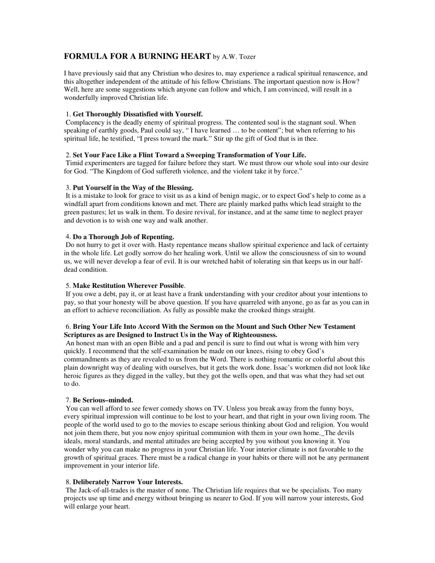# **FORMULA FOR A BURNING HEART** by A.W. Tozer

I have previously said that any Christian who desires to, may experience a radical spiritual renascence, and this altogether independent of the attitude of his fellow Christians. The important question now is How? Well, here are some suggestions which anyone can follow and which, I am convinced, will result in a wonderfully improved Christian life.

# 1. **Get Thoroughly Dissatisfied with Yourself.**

Complacency is the deadly enemy of spiritual progress. The contented soul is the stagnant soul. When speaking of earthly goods, Paul could say, "I have learned ... to be content"; but when referring to his spiritual life, he testified, "I press toward the mark." Stir up the gift of God that is in thee.

# 2. **Set Your Face Like a Flint Toward a Sweeping Transformation of Your Life.**

Timid experimenters are tagged for failure before they start. We must throw our whole soul into our desire for God. "The Kingdom of God suffereth violence, and the violent take it by force."

# 3. **Put Yourself in the Way of the Blessing.**

It is a mistake to look for grace to visit us as a kind of benign magic, or to expect God's help to come as a windfall apart from conditions known and met. There are plainly marked paths which lead straight to the green pastures; let us walk in them. To desire revival, for instance, and at the same time to neglect prayer and devotion is to wish one way and walk another.

# 4. **Do a Thorough Job of Repenting.**

Do not hurry to get it over with. Hasty repentance means shallow spiritual experience and lack of certainty in the whole life. Let godly sorrow do her healing work. Until we allow the consciousness of sin to wound us, we will never develop a fear of evil. It is our wretched habit of tolerating sin that keeps us in our halfdead condition.

# 5. **Make Restitution Wherever Possible**.

If you owe a debt, pay it, or at least have a frank understanding with your creditor about your intentions to pay, so that your honesty will be above question. If you have quarreled with anyone, go as far as you can in an effort to achieve reconciliation. As fully as possible make the crooked things straight.

# 6. **Bring Your Life Into Accord With the Sermon on the Mount and Such Other New Testament Scriptures as are Designed to Instruct Us in the Way of Righteousness.**

An honest man with an open Bible and a pad and pencil is sure to find out what is wrong with him very quickly. I recommend that the self-examination be made on our knees, rising to obey God's commandments as they are revealed to us from the Word. There is nothing romantic or colorful about this plain downright way of dealing with ourselves, but it gets the work done. Issac's workmen did not look like heroic figures as they digged in the valley, but they got the wells open, and that was what they had set out to do.

#### 7. **Be Serious–minded.**

You can well afford to see fewer comedy shows on TV. Unless you break away from the funny boys, every spiritual impression will continue to be lost to your heart, and that right in your own living room. The people of the world used to go to the movies to escape serious thinking about God and religion. You would not join them there, but you now enjoy spiritual communion with them in your own home.\_The devils ideals, moral standards, and mental attitudes are being accepted by you without you knowing it. You wonder why you can make no progress in your Christian life. Your interior climate is not favorable to the growth of spiritual graces. There must be a radical change in your habits or there will not be any permanent improvement in your interior life.

#### 8. **Deliberately Narrow Your Interests.**

The Jack-of-all-trades is the master of none. The Christian life requires that we be specialists. Too many projects use up time and energy without bringing us nearer to God. If you will narrow your interests, God will enlarge your heart.